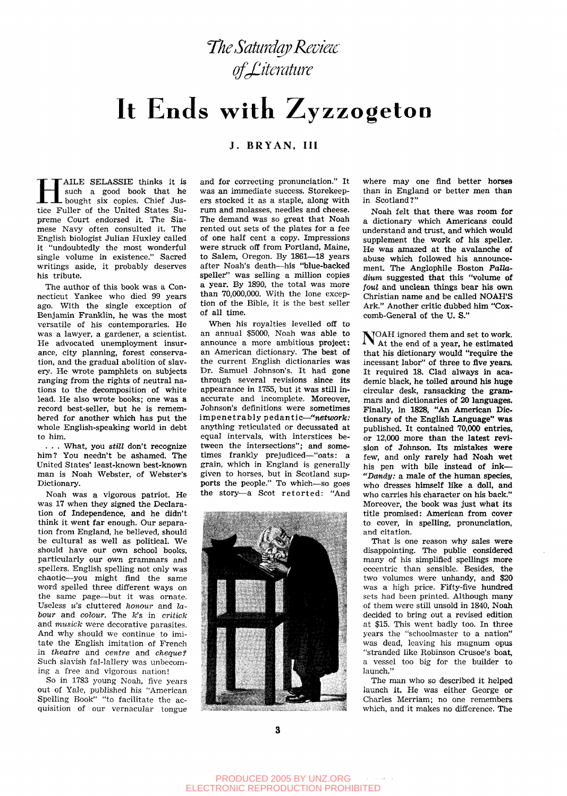**The Saturday Review** of Literature

# It Ends with Zyzzogeton

## **J. BRYAN. Ill**

**HE ALLE SELASSIE** thinks it is such a good book that he bought six copies. Chief Justice Fuller of the United States Su-AILE SELASSIE thinks it is such a good book that he bought six copies. Chief Juspreme Court endorsed it. The Siamese Navy often consulted it. The English biologist Julian Huxley called it "undoubtedly the most wonderful single volume in existence." Sacred writings aside, it probably deserves his tribute.

The author of this book was a Connecticut Yankee who died 99 years ago. With the single exception of Benjamin Franklin, he was the most versatile of his contemporaries. He was a lawyer, a gardener, a scientist. He advocated unemployment insurance, city planning, forest conservation, and the gradual abolition of slavery. He wrote pamphlets on subjects ranging from the rights of neutral nations to the decomposition of white lead. He also wrote books; one was a record best-seller, but he is remembered for another which has put the whole English-speaking world in debt to him.

. . . What, you *still* don't recognize him? You needn't be ashamed. The United States' least-known best-known man is Noah Webster, of Webster's Dictionary.

Noah was a vigorous patriot. He was 17 when they signed the Declaration of Independence, and he didn't think it went far enough. Our separation from England, he believed, should be cultural as well as political. We should have our own school books, particularly our own grammars and spellers. English spelling not only was chaotic—you might find the same word spelled three different ways on the same page—but it was ornate. Useless u's cluttered honour and la*bour* and *colour*. The *k*'s in *critick* and *musick* were decorative parasites. And why should we continue to imitate the English imitation of French in *theatre* and *centre* and *cheque?*  Such slavish fal-lallery was unbecoming a free and vigorous nation!

So in 1783 young Noah, five years out of Yale, published his "American Spelling Book" "to facilitate the acquisition of our vernacular tongue

and for correcting pronunciation." It was an immediate success. Storekeepers stocked it as a staple, along with rum and molasses, needles and cheese. The demand was so great that Noah rented out sets of the plates for a fee of one half cent a copy. Impressions were struck off from Portland, Maine, to Salem, Oregon. By 1861—18 years after Noah's death—his "blue-backed speller" was selling a million copies a year. By 1890, the total was more than 70,000,000. With the lone exception of the Bible, it is the best seller of all time.

When his royalties levelled off to an annual \$5000, Noah was able to announce a more ambitious project: an American dictionary. The best of the current English dictionaries was Dr. Samuel Johnson's. It had gone through several revisions since its appearance in 1755, but it was still inaccurate and incomplete. Moreover, Johnson's definitions were sometimes impenetrably pedantic—"network: anything reticulated or decussated at equal intervals, with interstices between the intersections"; and sometimes frankly prejudiced—"oats: a grain, which in England is generally given to horses, but in Scotland supports the people." To which—so goes the story-a Scot retorted: "And



where may one find better horses than in England or better men than in Scotland?"

Noah felt that there was room for a dictionary which Americans could understand and trust, and which would supplement the work of his speller. He was amazed at the avalanche of abuse which followed his announcement. The Anglophile Boston *Palla*dium suggested that this "volume of *foul* and unclean things bear his own Christian name and be called NOAH'S Ark." Another critic dubbed him "Coxcomb-General of the U. S."

NOAH ignored them and set to work.<br>Nat the end of a year, he estimated At the end of a year, he estimated that his dictionary would "require the incessant labor" of three to five years. It required 18. Clad always in academic black, he toiled around his huge  $circular$  desk, ransacking the grammars and dictionaries of 20 languages. Finally, in 1828, "An American Dictionary of the English Language" was published. It contained 70,000 entries, or 12,000 more than the latest revision of Johnson. Its mistakes **were**  few, and only rarely had Noah wet his pen with bile instead of ink— *"Dandy: a male* of the human species, who dresses himself like a doll, and who carries his character on his back." Moreover, the book was just what its title promised: American from cover to cover, in spelling, pronunciation, and citation.

That is one reason why sales were disappointing. The public considered many of his simplified spellings more eccentric than sensible. Besides, the two volumes were unhandy, and \$20 was a high price. Fifty-five hundred sets had been printed. Although many of them were still unsold in 1840, Noah decided to bring out a revised edition at \$15. This went badly too. In three years the "schoolmaster to a nation" was dead, leaving his magnum opus "stranded like Robinson Crusoe's boat, a vessel too big for the builder to launch."

The man who so described it helped launch it. He was either George or Charles Merriam; no one remembers which, and it makes no difference. The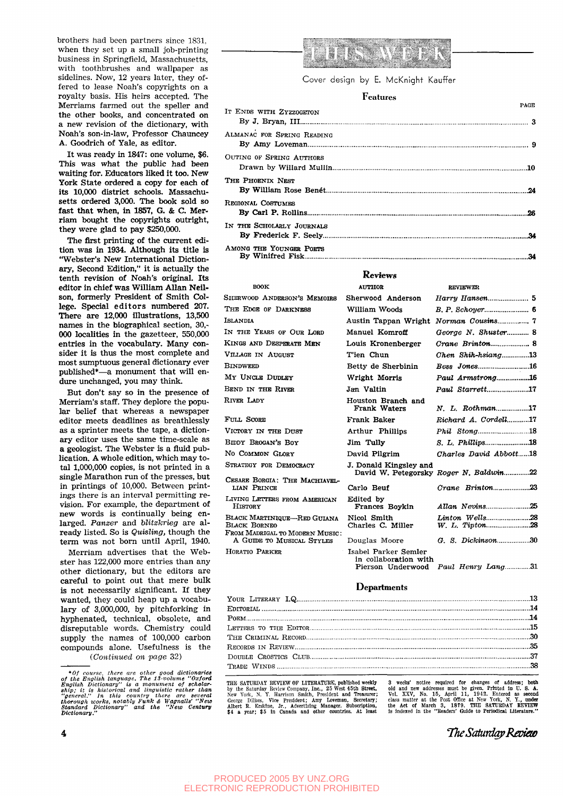brothers had been partners since 1831, when they set up a small job-printing business in Springfield, Massachusetts, with toothbrushes and wallpaper as sidelines. Now, 12 years later, they offered to lease Noah's copyrights on a royalty basis. His heirs accepted. The Merriams farmed out the speller and the other books, and concentrated on a new revision of the dictionary, with Noah's son-in-law, Professor Chauncey A. Goodrich of Yale, as editor.

It was ready in 1847: one volume, \$6. This *was* what the public had been waiting for. Educators liked it too. New York State ordered a copy for each of its 10,000 district schools. Massachusetts ordered 3,000. The book sold so fast that when, in 1857, G. & C. Merriam bought the copyrights outright, they were glad to pay \$250,000.

The first printing of the current edition was in 1934. Although its title is "Webster's New International Dictionary, Second Edition," it is actually the tenth revision of Noah's original. Its editor in chief was William Allan Neilson, formerly President of Smith College. Special editors numbered 207. There are 12,000 illustrations, 13,500 names in the biographical section, 30,- 000 localities in the gazetteer, 550,000 entries in the vocabulary. Many consider it is thus the most complete and most sumptuous general dictionary ever published\*—a monument that will endure unchanged, you may think.

But don't say so in the presence of Merriam's staff. They deplore the popular belief that whereas a newspaper editor meets deadlines as breathlessly as a sprinter meets the tape, a dictionary editor uses the same time-scale as a geologist. The Webster is a fluid publication. A whole edition, which may total 1,000,000 copies, is not printed in a single Marathon run of the presses, but in printings of 10,000. Between printings there is an interval permitting revision. For example, the department of new words is continually being enlarged. *Panzer* and *blitzkrieg* are already listed. So is *Quisling,* though the term was not bom until April, 1940.

Merriam advertises that the Webster has 122,000 more entries than any other dictionary, but the editors are careful to point out that mere bulk is not necessarily significant. If they wanted, they could heap up a vocabulary of 3,000,000, by pitchforking in hyphenated, technical, obsolete, and disreputable words. Chemistry could supply the names of 100,000 carbon compounds alone. Usefulness is the

*{Continued on page* 32)



Cover design by E. McKnight Kauffer

#### Features

| IT ENDS WITH ZYZZOGETON    | <b>PAGE</b> |
|----------------------------|-------------|
| ALMANAC FOR SPRING READING |             |
| OUTING OF SPRING AUTHORS   |             |
| The Phoenix Nest           |             |
| Regional Costumes          |             |
| IN THE SCHOLARLY JOURNALS  |             |
| AMONG THE YOUNGER POETS    |             |

#### Reviews

| <b>BOOK</b>                                                                          | <b>AUTHOR</b>                                 | <b>REVIEWER</b>                        |
|--------------------------------------------------------------------------------------|-----------------------------------------------|----------------------------------------|
| SHERWOOD ANDERSON'S MEMOIRS                                                          | Sherwood Anderson                             |                                        |
| THE EDGE OF DARKNESS                                                                 | William Woods                                 |                                        |
| Islandia                                                                             | Austin Tappan Wright                          |                                        |
| IN THE YEARS OF OUR LORD                                                             | Manuel Komroff                                | George N. Shuster 8                    |
| KINGS AND DESPERATE MEN                                                              | Louis Kronenberger                            |                                        |
| VILLAGE IN AUGUST                                                                    | T'ien Chun                                    | $Chen$ Shih-hsiang13                   |
| <b>BINDWEED</b>                                                                      | Betty de Sherbinin                            | Bess Jones16                           |
| MY UNCLE DUDLEY                                                                      | Wright Morris                                 | Paul Armstrong16                       |
| BEND IN THE RIVER                                                                    | Jan Valtin                                    | <i>Paul Starrett17</i>                 |
| RIVER LADY                                                                           | Houston Branch and<br>Frank Waters            | N. L. Rothman17                        |
| FULL SCORE                                                                           | Frank Baker                                   | Richard A. Cordell17                   |
| VICTORY IN THE DUST                                                                  | Arthur Phillips                               | Phil Stong18                           |
| BIDDY BROGAN'S BOY                                                                   | Jim Tully                                     | S. L. Phillips18                       |
| NO COMMON GLORY                                                                      | David Pilgrim                                 | Charles David Abbott18                 |
| STRATEGY FOR DEMOCRACY                                                               | J. Donald Kingsley and                        | David W. Petegorsky Roger N. Baldwin22 |
| CESARE BORGIA: THE MACHIAVEL-<br>LIAN PRINCE                                         | Carlo Beuf                                    |                                        |
| LIVING LETTERS FROM AMERICAN<br><b>HISTORY</b>                                       | Edited by<br>Frances Boykin                   | Allan Nevins25                         |
| BLACK MARTINIQUE-RED GUIANA<br><b>BLACK BORNEO</b><br>FROM MADRIGAL TO MODERN MUSIC: | Nicol Smith<br>Charles C. Miller              | Linton Wells28                         |
| A GUIDE TO MUSICAL STYLES                                                            | Douglas Moore                                 | G. S. Dickinson30                      |
| HORATIO PARKER                                                                       | Isabel Parker Semler<br>in collaboration with | Pierson Underwood Paul Henry Lang31    |

#### **Departments**

New York, N. Y. Harrison Smith, President and Treasurer; Vol. XXV, No. 15, April 11, 1942. Entered as second<br>George Dilkes, Vice President; Amy Loveman, Secretary; class matter at the Post Office at New York, N. Y., under<br> \$4 a year; \$5 in Canada and other countries. At least is indexed in the "headers' Guide to Periodical Literature.

THE SATURDAY REVIEW OF LITERATURE, published weekly 3 weeks' notice required for changes of address; both the state of the state of the state of the state of the state of the state of the state of the state of the state of George Dilkes, Vice President; Amy Loveman, Secretary; class matter at the Post Office at New York, N. Y. Under

The Saturdap Revi**ew** 

<sup>\*</sup> Of course, there are other good dictionaries<br>of the English language. The 13-volume "Oxford<br>English Dictionary" is a monument of scholar-<br>ship; it is historical and linguistic rather than<br>"general." In this country ther